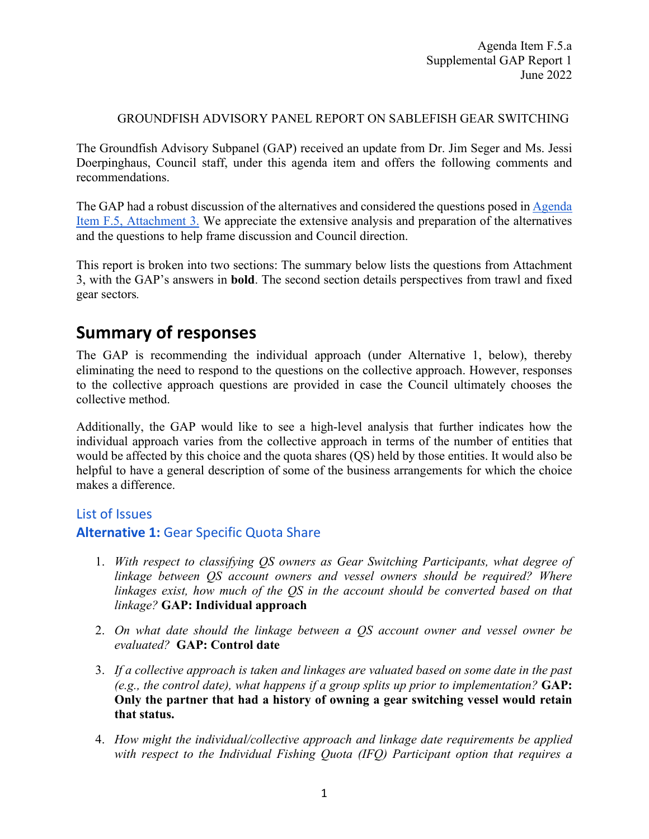#### GROUNDFISH ADVISORY PANEL REPORT ON SABLEFISH GEAR SWITCHING

The Groundfish Advisory Subpanel (GAP) received an update from Dr. Jim Seger and Ms. Jessi Doerpinghaus, Council staff, under this agenda item and offers the following comments and recommendations.

The GAP had a robust discussion of the alternatives and considered the questions posed i[n Agenda](https://www.pcouncil.org/documents/2022/05/f-5-attachment-3-provisions-on-which-council-guidance-is-needed.pdf/)  [Item F.5, Attachment 3.](https://www.pcouncil.org/documents/2022/05/f-5-attachment-3-provisions-on-which-council-guidance-is-needed.pdf/) We appreciate the extensive analysis and preparation of the alternatives and the questions to help frame discussion and Council direction.

This report is broken into two sections: The summary below lists the questions from Attachment 3, with the GAP's answers in **bold**. The second section details perspectives from trawl and fixed gear sectors*.* 

# **Summary of responses**

The GAP is recommending the individual approach (under Alternative 1, below), thereby eliminating the need to respond to the questions on the collective approach. However, responses to the collective approach questions are provided in case the Council ultimately chooses the collective method.

Additionally, the GAP would like to see a high-level analysis that further indicates how the individual approach varies from the collective approach in terms of the number of entities that would be affected by this choice and the quota shares (QS) held by those entities. It would also be helpful to have a general description of some of the business arrangements for which the choice makes a difference.

#### List of Issues

#### **Alternative 1:** Gear Specific Quota Share

- 1. *With respect to classifying QS owners as Gear Switching Participants, what degree of linkage between QS account owners and vessel owners should be required? Where linkages exist, how much of the QS in the account should be converted based on that linkage?* **GAP: Individual approach**
- 2. *On what date should the linkage between a QS account owner and vessel owner be evaluated?* **GAP: Control date**
- 3. *If a collective approach is taken and linkages are valuated based on some date in the past (e.g., the control date), what happens if a group splits up prior to implementation?* **GAP: Only the partner that had a history of owning a gear switching vessel would retain that status.**
- 4. *How might the individual/collective approach and linkage date requirements be applied with respect to the Individual Fishing Quota (IFQ) Participant option that requires a*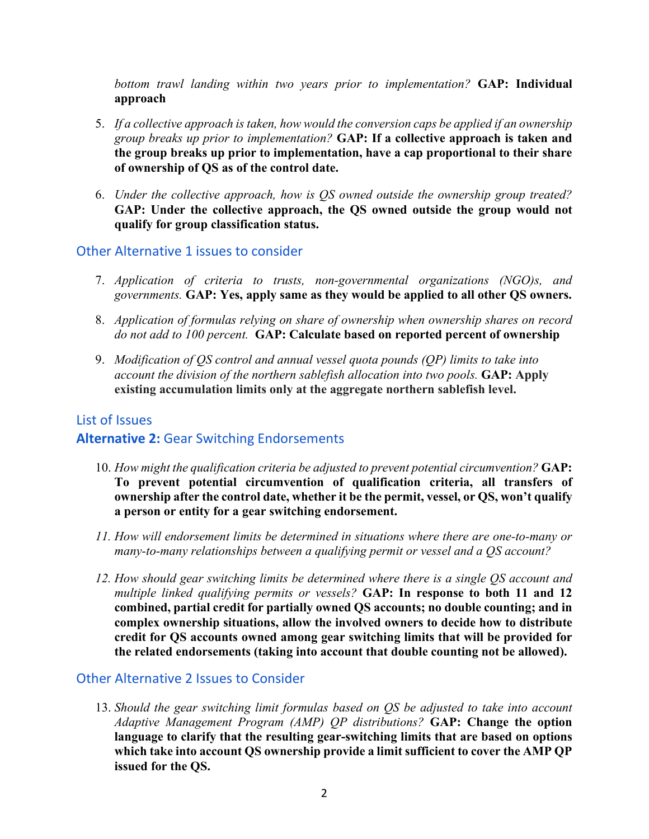*bottom trawl landing within two years prior to implementation?* **GAP: Individual approach**

- 5. *If a collective approach is taken, how would the conversion caps be applied if an ownership group breaks up prior to implementation?* **GAP: If a collective approach is taken and the group breaks up prior to implementation, have a cap proportional to their share of ownership of QS as of the control date.**
- 6. *Under the collective approach, how is QS owned outside the ownership group treated?* **GAP: Under the collective approach, the QS owned outside the group would not qualify for group classification status.**

#### Other Alternative 1 issues to consider

- 7. *Application of criteria to trusts, non-governmental organizations (NGO)s, and governments.* **GAP: Yes, apply same as they would be applied to all other QS owners.**
- 8. *Application of formulas relying on share of ownership when ownership shares on record do not add to 100 percent.* **GAP: Calculate based on reported percent of ownership**
- 9. *Modification of QS control and annual vessel quota pounds (QP) limits to take into account the division of the northern sablefish allocation into two pools.* **GAP: Apply existing accumulation limits only at the aggregate northern sablefish level.**

### List of Issues **Alternative 2:** Gear Switching Endorsements

- 10. *How might the qualification criteria be adjusted to prevent potential circumvention?* **GAP: To prevent potential circumvention of qualification criteria, all transfers of ownership after the control date, whether it be the permit, vessel, or QS, won't qualify a person or entity for a gear switching endorsement.**
- *11. How will endorsement limits be determined in situations where there are one-to-many or many-to-many relationships between a qualifying permit or vessel and a QS account?*
- *12. How should gear switching limits be determined where there is a single QS account and multiple linked qualifying permits or vessels?* **GAP: In response to both 11 and 12 combined, partial credit for partially owned QS accounts; no double counting; and in complex ownership situations, allow the involved owners to decide how to distribute credit for QS accounts owned among gear switching limits that will be provided for the related endorsements (taking into account that double counting not be allowed).**

#### Other Alternative 2 Issues to Consider

13. *Should the gear switching limit formulas based on QS be adjusted to take into account Adaptive Management Program (AMP) QP distributions?* **GAP: Change the option language to clarify that the resulting gear-switching limits that are based on options which take into account QS ownership provide a limit sufficient to cover the AMP QP issued for the QS.**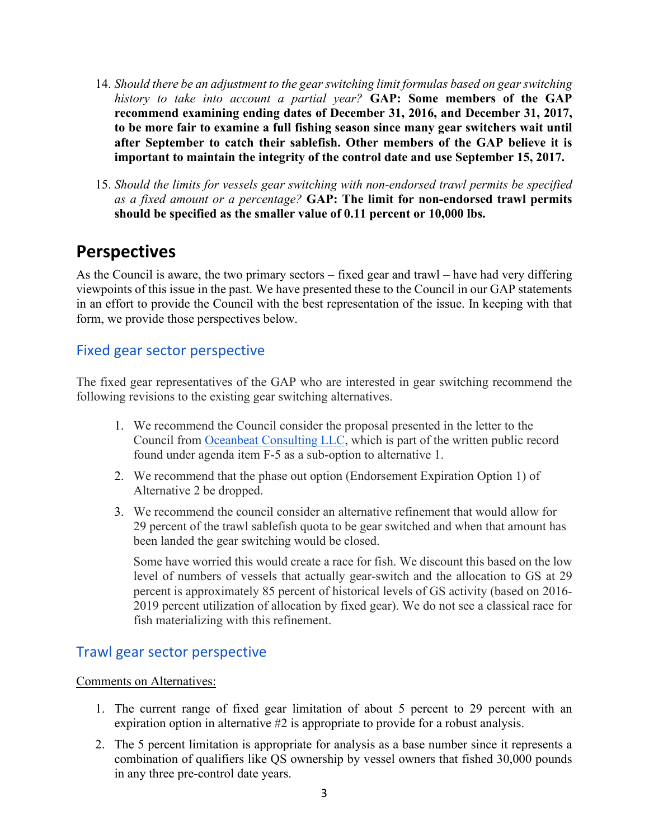- 14. *Should there be an adjustment to the gear switching limit formulas based on gear switching history to take into account a partial year?* **GAP: Some members of the GAP recommend examining ending dates of December 31, 2016, and December 31, 2017, to be more fair to examine a full fishing season since many gear switchers wait until after September to catch their sablefish. Other members of the GAP believe it is important to maintain the integrity of the control date and use September 15, 2017.**
- 15. *Should the limits for vessels gear switching with non-endorsed trawl permits be specified as a fixed amount or a percentage?* **GAP: The limit for non-endorsed trawl permits should be specified as the smaller value of 0.11 percent or 10,000 lbs.**

## **Perspectives**

As the Council is aware, the two primary sectors – fixed gear and trawl – have had very differing viewpoints of this issue in the past. We have presented these to the Council in our GAP statements in an effort to provide the Council with the best representation of the issue. In keeping with that form, we provide those perspectives below.

## Fixed gear sector perspective

The fixed gear representatives of the GAP who are interested in gear switching recommend the following revisions to the existing gear switching alternatives.

- 1. We recommend the Council consider the proposal presented in the letter to the Council from [Oceanbeat Consulting LLC,](https://pfmc.psmfc.org/CommentReview/DownloadFile?p=65b416cd-1610-466f-90c8-c4d1bcf34010.pdf&fileName=F5_Oceanbeat_comments_sablefish_gear_switching.pdf) which is part of the written public record found under agenda item F-5 as a sub-option to alternative 1.
- 2. We recommend that the phase out option (Endorsement Expiration Option 1) of Alternative 2 be dropped.
- 3. We recommend the council consider an alternative refinement that would allow for 29 percent of the trawl sablefish quota to be gear switched and when that amount has been landed the gear switching would be closed.

Some have worried this would create a race for fish. We discount this based on the low level of numbers of vessels that actually gear-switch and the allocation to GS at 29 percent is approximately 85 percent of historical levels of GS activity (based on 2016- 2019 percent utilization of allocation by fixed gear). We do not see a classical race for fish materializing with this refinement.

## Trawl gear sector perspective

#### Comments on Alternatives:

- 1. The current range of fixed gear limitation of about 5 percent to 29 percent with an expiration option in alternative #2 is appropriate to provide for a robust analysis.
- 2. The 5 percent limitation is appropriate for analysis as a base number since it represents a combination of qualifiers like QS ownership by vessel owners that fished 30,000 pounds in any three pre-control date years.